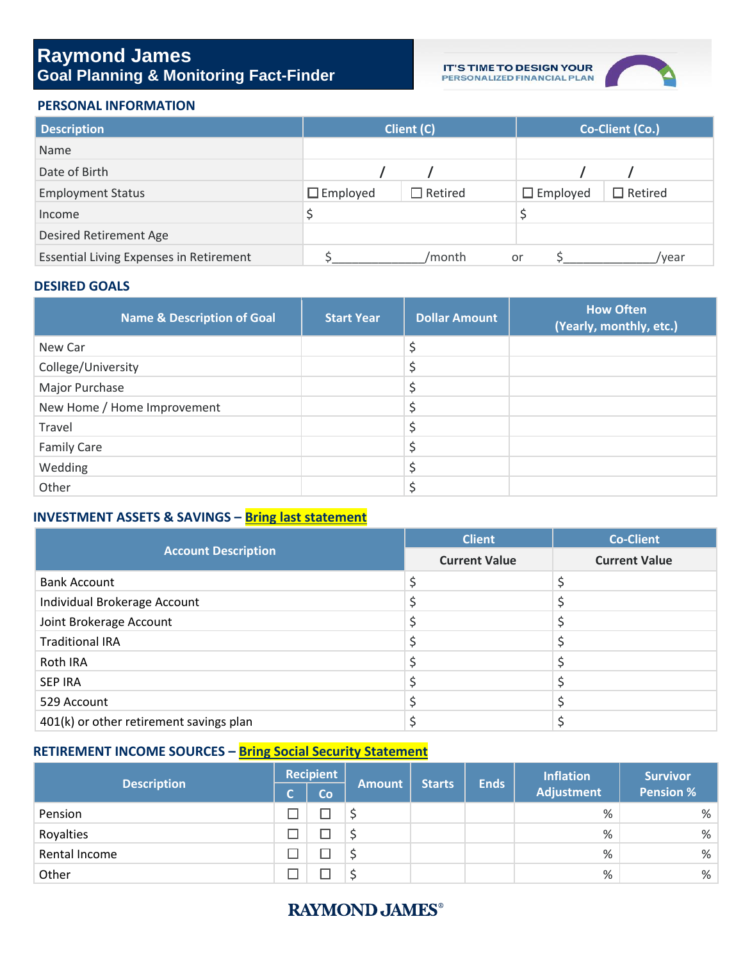## **Raymond James Goal Planning & Monitoring Fact-Finder**

**IT'S TIME TO DESIGN YOUR<br>PERSONALIZED FINANCIAL PLAN** 



#### **PERSONAL INFORMATION**

| <b>Description</b>                             |                 | Client (C)     | Co-Client (Co.) |                |  |
|------------------------------------------------|-----------------|----------------|-----------------|----------------|--|
| Name                                           |                 |                |                 |                |  |
| Date of Birth                                  |                 |                |                 |                |  |
| <b>Employment Status</b>                       | $\Box$ Employed | $\Box$ Retired | $\Box$ Employed | $\Box$ Retired |  |
| Income                                         |                 |                |                 |                |  |
| <b>Desired Retirement Age</b>                  |                 |                |                 |                |  |
| <b>Essential Living Expenses in Retirement</b> |                 | /month         | or              | /vear          |  |

#### **DESIRED GOALS**

| <b>Name &amp; Description of Goal</b> | <b>Start Year</b> | <b>Dollar Amount</b> | <b>How Often</b><br>(Yearly, monthly, etc.) |
|---------------------------------------|-------------------|----------------------|---------------------------------------------|
| New Car                               |                   |                      |                                             |
| College/University                    |                   |                      |                                             |
| Major Purchase                        |                   |                      |                                             |
| New Home / Home Improvement           |                   |                      |                                             |
| Travel                                |                   |                      |                                             |
| <b>Family Care</b>                    |                   |                      |                                             |
| Wedding                               |                   |                      |                                             |
| Other                                 |                   |                      |                                             |

### **INVESTMENT ASSETS & SAVINGS – Bring last statement**

|                                         | <b>Client</b>        | <b>Co-Client</b>     |
|-----------------------------------------|----------------------|----------------------|
| <b>Account Description</b>              | <b>Current Value</b> | <b>Current Value</b> |
| <b>Bank Account</b>                     |                      |                      |
| Individual Brokerage Account            |                      |                      |
| Joint Brokerage Account                 |                      |                      |
| <b>Traditional IRA</b>                  |                      |                      |
| Roth IRA                                |                      |                      |
| <b>SEP IRA</b>                          |                      |                      |
| 529 Account                             |                      |                      |
| 401(k) or other retirement savings plan |                      |                      |

### **RETIREMENT INCOME SOURCES – Bring Social Security Statement**

|                    | <b>Recipient</b> |    |               |               |             | <b>Inflation</b>  | <b>Survivor</b>  |
|--------------------|------------------|----|---------------|---------------|-------------|-------------------|------------------|
| <b>Description</b> | C.               | Co | <b>Amount</b> | <b>Starts</b> | <b>Ends</b> | <b>Adjustment</b> | <b>Pension %</b> |
| Pension            |                  |    |               |               |             | %                 | %                |
| Royalties          |                  |    |               |               |             | %                 | $\frac{9}{6}$    |
| Rental Income      |                  |    |               |               |             | %                 | %                |
| Other              |                  |    |               |               |             | %                 | %                |

## **RAYMOND JAMES®**